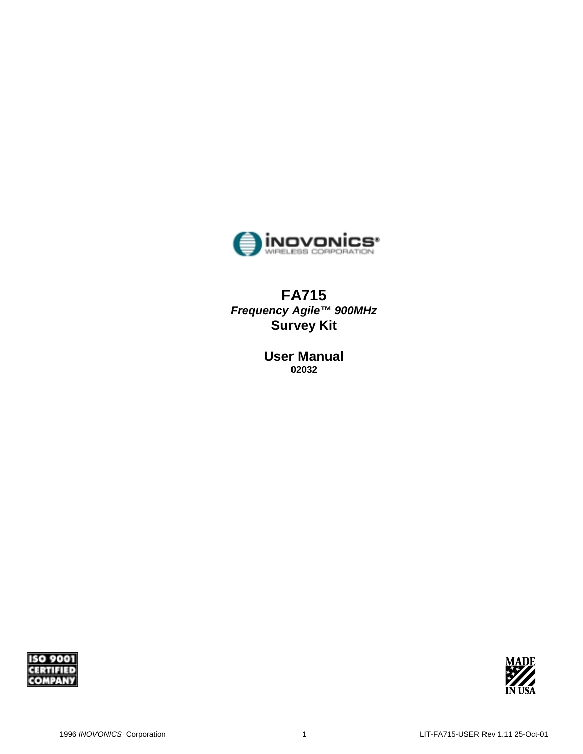

# **FA715**  *Frequency Agile™ 900MHz* **Survey Kit**

**User Manual 02032** 



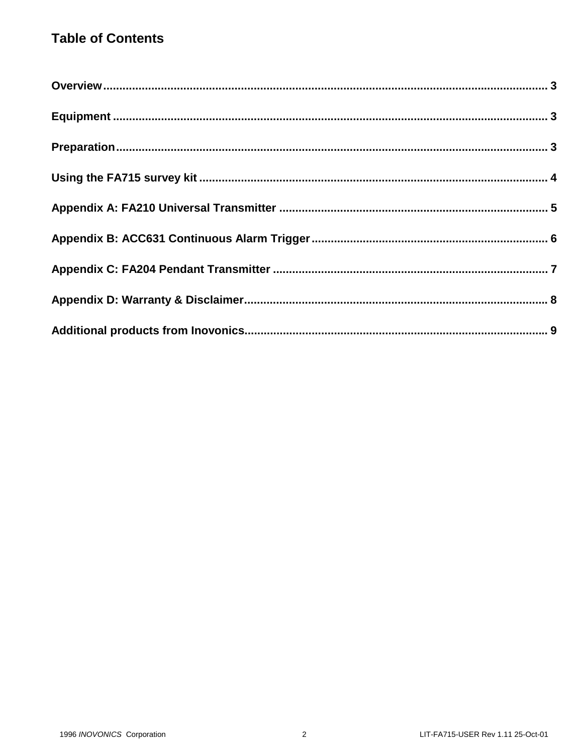# **Table of Contents**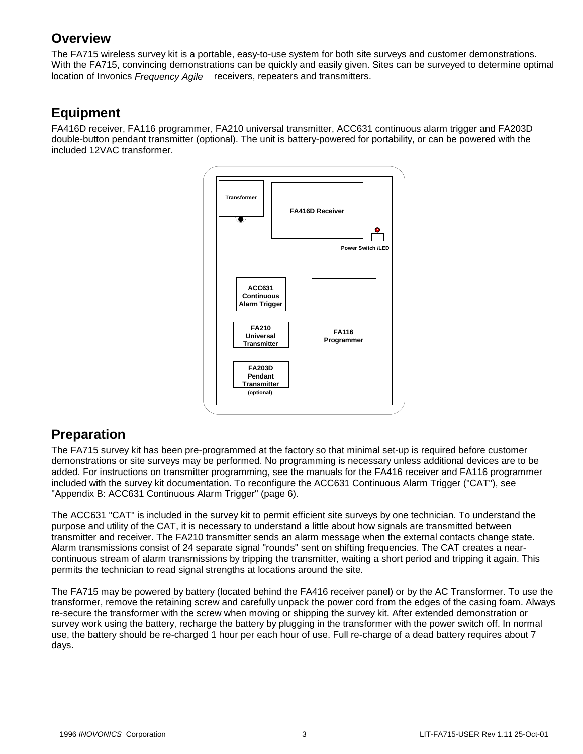# **Overview**

The FA715 wireless survey kit is a portable, easy-to-use system for both site surveys and customer demonstrations. With the FA715, convincing demonstrations can be quickly and easily given. Sites can be surveyed to determine optimal location of Invonics *Frequency Agile™* receivers, repeaters and transmitters.

# **Equipment**

FA416D receiver, FA116 programmer, FA210 universal transmitter, ACC631 continuous alarm trigger and FA203D double-button pendant transmitter (optional). The unit is battery-powered for portability, or can be powered with the included 12VAC transformer.



## **Preparation**

The FA715 survey kit has been pre-programmed at the factory so that minimal set-up is required before customer demonstrations or site surveys may be performed. No programming is necessary unless additional devices are to be added. For instructions on transmitter programming, see the manuals for the FA416 receiver and FA116 programmer included with the survey kit documentation. To reconfigure the ACC631 Continuous Alarm Trigger ("CAT"), see "Appendix B: ACC631 Continuous Alarm Trigger" (page 6).

The ACC631 "CAT" is included in the survey kit to permit efficient site surveys by one technician. To understand the purpose and utility of the CAT, it is necessary to understand a little about how signals are transmitted between transmitter and receiver. The FA210 transmitter sends an alarm message when the external contacts change state. Alarm transmissions consist of 24 separate signal "rounds" sent on shifting frequencies. The CAT creates a nearcontinuous stream of alarm transmissions by tripping the transmitter, waiting a short period and tripping it again. This permits the technician to read signal strengths at locations around the site.

The FA715 may be powered by battery (located behind the FA416 receiver panel) or by the AC Transformer. To use the transformer, remove the retaining screw and carefully unpack the power cord from the edges of the casing foam. Always re-secure the transformer with the screw when moving or shipping the survey kit. After extended demonstration or survey work using the battery, recharge the battery by plugging in the transformer with the power switch off. In normal use, the battery should be re-charged 1 hour per each hour of use. Full re-charge of a dead battery requires about 7 days.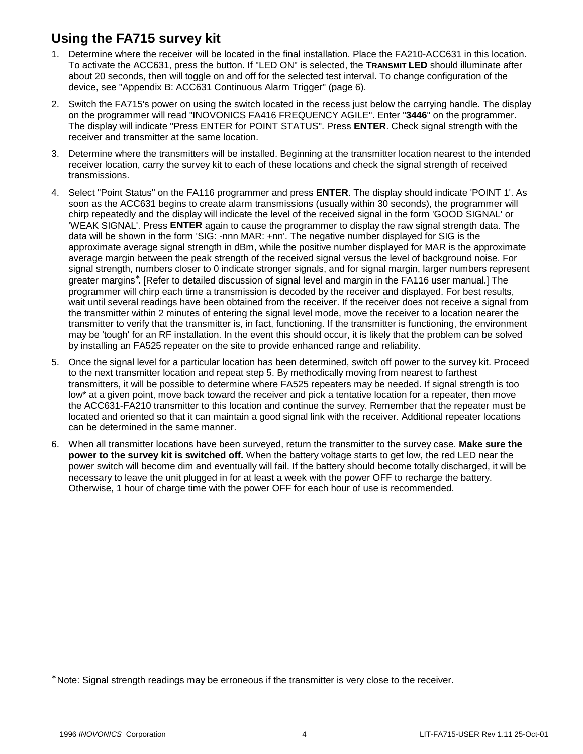# **Using the FA715 survey kit**

- 1. Determine where the receiver will be located in the final installation. Place the FA210-ACC631 in this location. To activate the ACC631, press the button. If "LED ON" is selected, the **TRANSMIT LED** should illuminate after about 20 seconds, then will toggle on and off for the selected test interval. To change configuration of the device, see "Appendix B: ACC631 Continuous Alarm Trigger" (page 6).
- 2. Switch the FA715's power on using the switch located in the recess just below the carrying handle. The display on the programmer will read "INOVONICS FA416 FREQUENCY AGILE". Enter "**3446**" on the programmer. The display will indicate "Press ENTER for POINT STATUS". Press **ENTER**. Check signal strength with the receiver and transmitter at the same location.
- 3. Determine where the transmitters will be installed. Beginning at the transmitter location nearest to the intended receiver location, carry the survey kit to each of these locations and check the signal strength of received transmissions.
- 4. Select "Point Status" on the FA116 programmer and press **ENTER**. The display should indicate 'POINT 1'. As soon as the ACC631 begins to create alarm transmissions (usually within 30 seconds), the programmer will chirp repeatedly and the display will indicate the level of the received signal in the form 'GOOD SIGNAL' or 'WEAK SIGNAL'. Press **ENTER** again to cause the programmer to display the raw signal strength data. The data will be shown in the form 'SIG: -nnn MAR: +nn'. The negative number displayed for SIG is the approximate average signal strength in dBm, while the positive number displayed for MAR is the approximate average margin between the peak strength of the received signal versus the level of background noise. For signal strength, numbers closer to 0 indicate stronger signals, and for signal margin, larger numbers represent greater margins<sup>∗</sup> . [Refer to detailed discussion of signal level and margin in the FA116 user manual.] The programmer will chirp each time a transmission is decoded by the receiver and displayed. For best results, wait until several readings have been obtained from the receiver. If the receiver does not receive a signal from the transmitter within 2 minutes of entering the signal level mode, move the receiver to a location nearer the transmitter to verify that the transmitter is, in fact, functioning. If the transmitter is functioning, the environment may be 'tough' for an RF installation. In the event this should occur, it is likely that the problem can be solved by installing an FA525 repeater on the site to provide enhanced range and reliability.
- 5. Once the signal level for a particular location has been determined, switch off power to the survey kit. Proceed to the next transmitter location and repeat step 5. By methodically moving from nearest to farthest transmitters, it will be possible to determine where FA525 repeaters may be needed. If signal strength is too low\* at a given point, move back toward the receiver and pick a tentative location for a repeater, then move the ACC631-FA210 transmitter to this location and continue the survey. Remember that the repeater must be located and oriented so that it can maintain a good signal link with the receiver. Additional repeater locations can be determined in the same manner.
- 6. When all transmitter locations have been surveyed, return the transmitter to the survey case. **Make sure the power to the survey kit is switched off.** When the battery voltage starts to get low, the red LED near the power switch will become dim and eventually will fail. If the battery should become totally discharged, it will be necessary to leave the unit plugged in for at least a week with the power OFF to recharge the battery. Otherwise, 1 hour of charge time with the power OFF for each hour of use is recommended.

l

<sup>∗</sup> Note: Signal strength readings may be erroneous if the transmitter is very close to the receiver.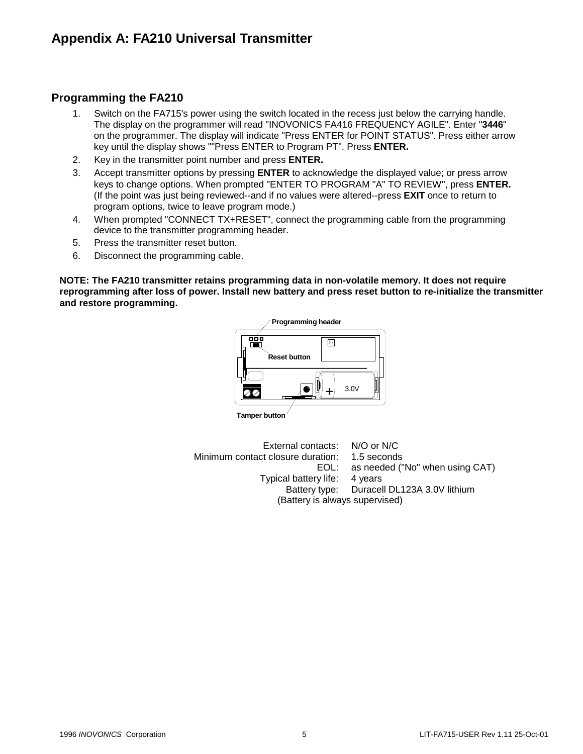### **Programming the FA210**

- 1. Switch on the FA715's power using the switch located in the recess just below the carrying handle. The display on the programmer will read "INOVONICS FA416 FREQUENCY AGILE". Enter "**3446**" on the programmer. The display will indicate "Press ENTER for POINT STATUS". Press either arrow key until the display shows ""Press ENTER to Program PT". Press **ENTER.**
- 2. Key in the transmitter point number and press **ENTER.**
- 3. Accept transmitter options by pressing **ENTER** to acknowledge the displayed value; or press arrow keys to change options. When prompted "ENTER TO PROGRAM "A" TO REVIEW", press **ENTER.**  (If the point was just being reviewed--and if no values were altered--press **EXIT** once to return to program options, twice to leave program mode.)
- 4. When prompted "CONNECT TX+RESET", connect the programming cable from the programming device to the transmitter programming header.
- 5. Press the transmitter reset button.
- 6. Disconnect the programming cable.

**NOTE: The FA210 transmitter retains programming data in non-volatile memory. It does not require reprogramming after loss of power. Install new battery and press reset button to re-initialize the transmitter and restore programming.**



**Tamper button**

 External contacts: N/O or N/C Minimum contact closure duration: 1.5 seconds EOL: as needed ("No" when using CAT) Typical battery life: 4 years Battery type: Duracell DL123A 3.0V lithium (Battery is always supervised)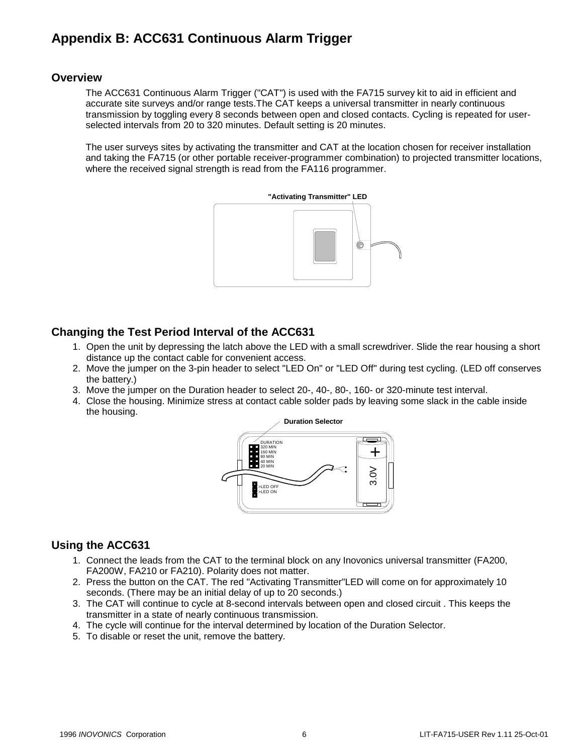# **Appendix B: ACC631 Continuous Alarm Trigger**

#### **Overview**

The ACC631 Continuous Alarm Trigger ("CAT") is used with the FA715 survey kit to aid in efficient and accurate site surveys and/or range tests.The CAT keeps a universal transmitter in nearly continuous transmission by toggling every 8 seconds between open and closed contacts. Cycling is repeated for userselected intervals from 20 to 320 minutes. Default setting is 20 minutes.

The user surveys sites by activating the transmitter and CAT at the location chosen for receiver installation and taking the FA715 (or other portable receiver-programmer combination) to projected transmitter locations, where the received signal strength is read from the FA116 programmer.



#### **Changing the Test Period Interval of the ACC631**

- 1. Open the unit by depressing the latch above the LED with a small screwdriver. Slide the rear housing a short distance up the contact cable for convenient access.
- 2. Move the jumper on the 3-pin header to select "LED On" or "LED Off" during test cycling. (LED off conserves the battery.)
- 3. Move the jumper on the Duration header to select 20-, 40-, 80-, 160- or 320-minute test interval.
- 4. Close the housing. Minimize stress at contact cable solder pads by leaving some slack in the cable inside the housing.



#### **Using the ACC631**

- 1. Connect the leads from the CAT to the terminal block on any Inovonics universal transmitter (FA200, FA200W, FA210 or FA210). Polarity does not matter.
- 2. Press the button on the CAT. The red "Activating Transmitter"LED will come on for approximately 10 seconds. (There may be an initial delay of up to 20 seconds.)
- 3. The CAT will continue to cycle at 8-second intervals between open and closed circuit . This keeps the transmitter in a state of nearly continuous transmission.
- 4. The cycle will continue for the interval determined by location of the Duration Selector.
- 5. To disable or reset the unit, remove the battery.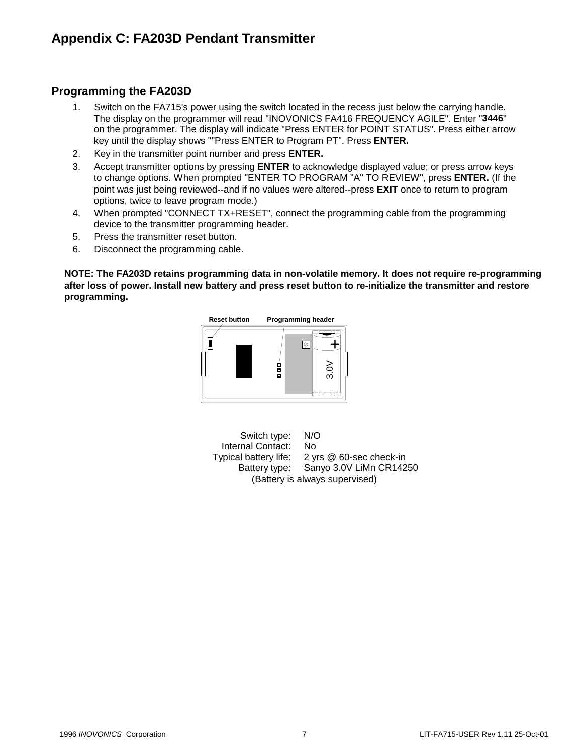## **Appendix C: FA203D Pendant Transmitter**

### **Programming the FA203D**

- 1. Switch on the FA715's power using the switch located in the recess just below the carrying handle. The display on the programmer will read "INOVONICS FA416 FREQUENCY AGILE". Enter "**3446**" on the programmer. The display will indicate "Press ENTER for POINT STATUS". Press either arrow key until the display shows ""Press ENTER to Program PT". Press **ENTER.**
- 2. Key in the transmitter point number and press **ENTER.**
- 3. Accept transmitter options by pressing **ENTER** to acknowledge displayed value; or press arrow keys to change options. When prompted "ENTER TO PROGRAM "A" TO REVIEW", press **ENTER.** (If the point was just being reviewed--and if no values were altered--press **EXIT** once to return to program options, twice to leave program mode.)
- 4. When prompted "CONNECT TX+RESET", connect the programming cable from the programming device to the transmitter programming header.
- 5. Press the transmitter reset button.
- 6. Disconnect the programming cable.

**NOTE: The FA203D retains programming data in non-volatile memory. It does not require re-programming after loss of power. Install new battery and press reset button to re-initialize the transmitter and restore programming.** 



 Switch type: N/O Internal Contact: No Typical battery life: 2 yrs @ 60-sec check-in Battery type: Sanyo 3.0V LiMn CR14250 (Battery is always supervised)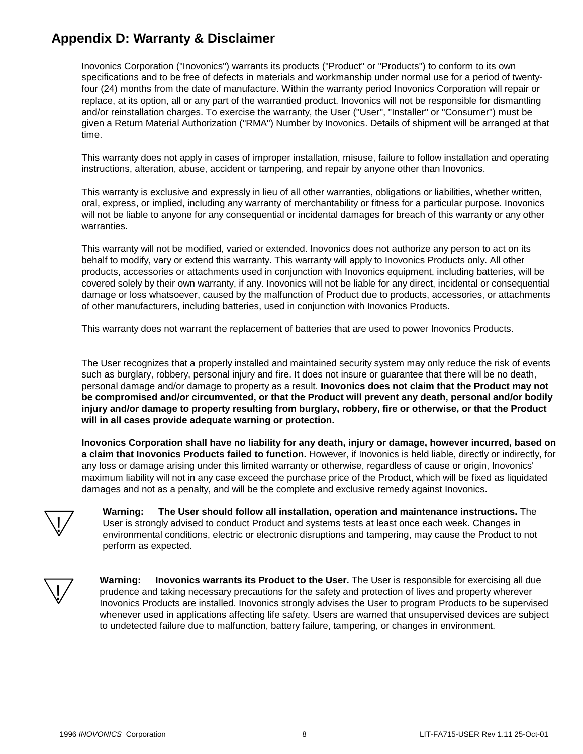## **Appendix D: Warranty & Disclaimer**

Inovonics Corporation ("Inovonics") warrants its products ("Product" or "Products") to conform to its own specifications and to be free of defects in materials and workmanship under normal use for a period of twentyfour (24) months from the date of manufacture. Within the warranty period Inovonics Corporation will repair or replace, at its option, all or any part of the warrantied product. Inovonics will not be responsible for dismantling and/or reinstallation charges. To exercise the warranty, the User ("User", "Installer" or "Consumer") must be given a Return Material Authorization ("RMA") Number by Inovonics. Details of shipment will be arranged at that time.

This warranty does not apply in cases of improper installation, misuse, failure to follow installation and operating instructions, alteration, abuse, accident or tampering, and repair by anyone other than Inovonics.

This warranty is exclusive and expressly in lieu of all other warranties, obligations or liabilities, whether written, oral, express, or implied, including any warranty of merchantability or fitness for a particular purpose. Inovonics will not be liable to anyone for any consequential or incidental damages for breach of this warranty or any other warranties.

This warranty will not be modified, varied or extended. Inovonics does not authorize any person to act on its behalf to modify, vary or extend this warranty. This warranty will apply to Inovonics Products only. All other products, accessories or attachments used in conjunction with Inovonics equipment, including batteries, will be covered solely by their own warranty, if any. Inovonics will not be liable for any direct, incidental or consequential damage or loss whatsoever, caused by the malfunction of Product due to products, accessories, or attachments of other manufacturers, including batteries, used in conjunction with Inovonics Products.

This warranty does not warrant the replacement of batteries that are used to power Inovonics Products.

The User recognizes that a properly installed and maintained security system may only reduce the risk of events such as burglary, robbery, personal injury and fire. It does not insure or guarantee that there will be no death, personal damage and/or damage to property as a result. **Inovonics does not claim that the Product may not be compromised and/or circumvented, or that the Product will prevent any death, personal and/or bodily injury and/or damage to property resulting from burglary, robbery, fire or otherwise, or that the Product will in all cases provide adequate warning or protection.**

**Inovonics Corporation shall have no liability for any death, injury or damage, however incurred, based on a claim that Inovonics Products failed to function.** However, if Inovonics is held liable, directly or indirectly, for any loss or damage arising under this limited warranty or otherwise, regardless of cause or origin, Inovonics' maximum liability will not in any case exceed the purchase price of the Product, which will be fixed as liquidated damages and not as a penalty, and will be the complete and exclusive remedy against Inovonics.



**Warning: The User should follow all installation, operation and maintenance instructions.** The User is strongly advised to conduct Product and systems tests at least once each week. Changes in environmental conditions, electric or electronic disruptions and tampering, may cause the Product to not perform as expected.



**Warning:** Inovonics warrants its Product to the User. The User is responsible for exercising all due prudence and taking necessary precautions for the safety and protection of lives and property wherever Inovonics Products are installed. Inovonics strongly advises the User to program Products to be supervised whenever used in applications affecting life safety. Users are warned that unsupervised devices are subject to undetected failure due to malfunction, battery failure, tampering, or changes in environment.